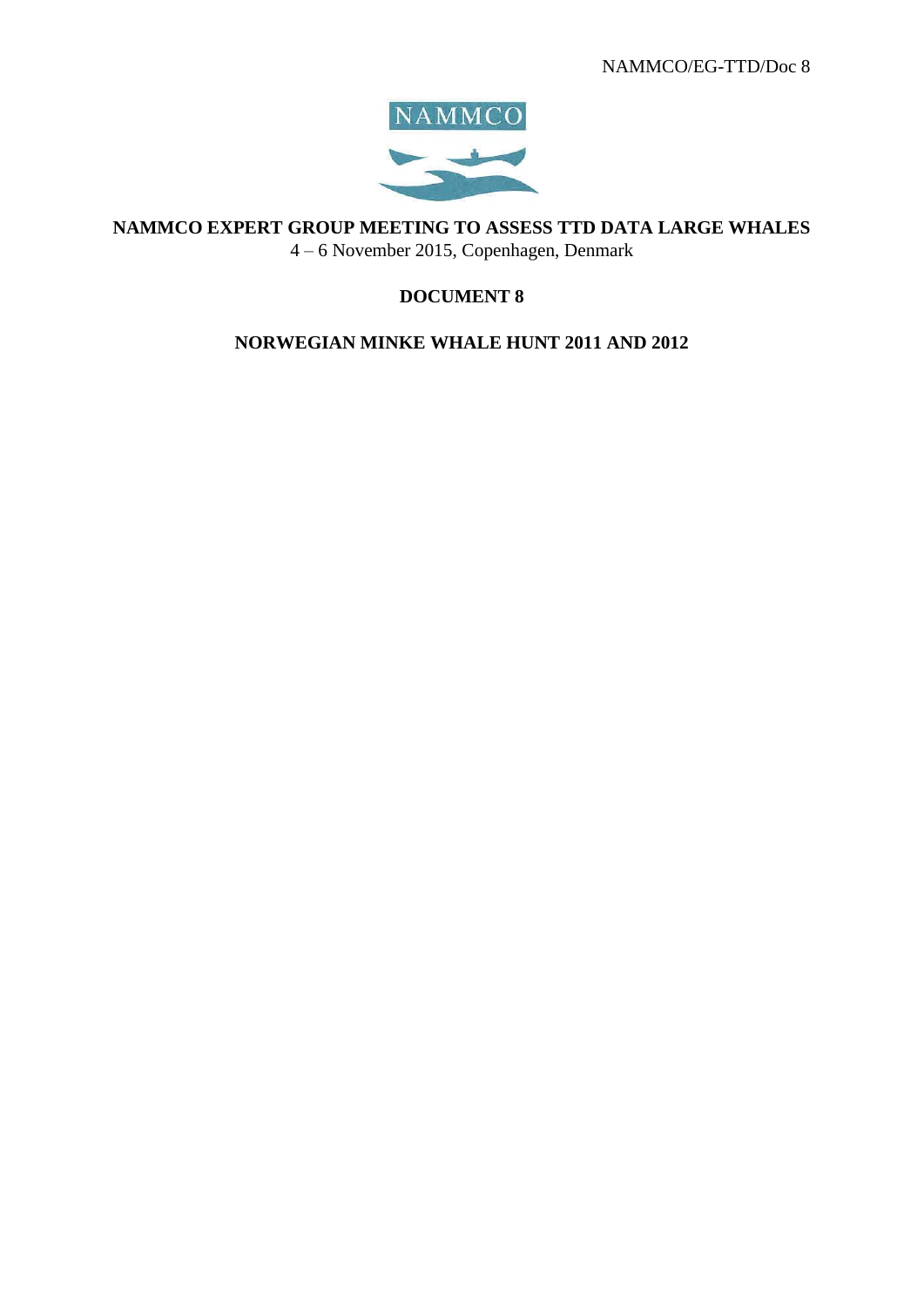

**NAMMCO EXPERT GROUP MEETING TO ASSESS TTD DATA LARGE WHALES**

4 – 6 November 2015, Copenhagen, Denmark

# **DOCUMENT 8**

## **NORWEGIAN MINKE WHALE HUNT 2011 AND 2012**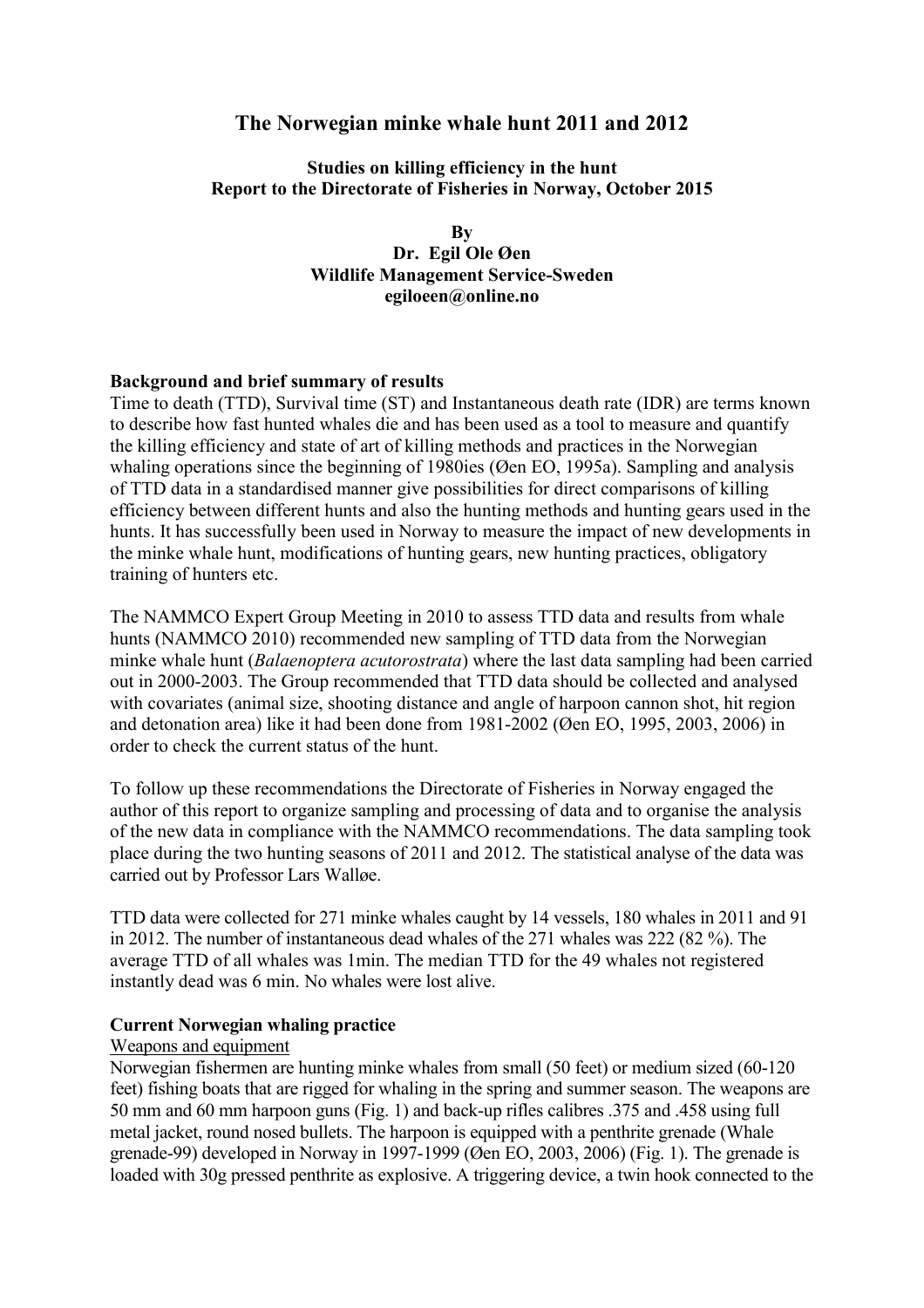## **The Norwegian minke whale hunt 2011 and 2012**

**Studies on killing efficiency in the hunt Report to the Directorate of Fisheries in Norway, October 2015**

> **By Dr. Egil Ole Øen Wildlife Management Service-Sweden egiloeen@online.no**

#### **Background and brief summary of results**

Time to death (TTD), Survival time (ST) and Instantaneous death rate (IDR) are terms known to describe how fast hunted whales die and has been used as a tool to measure and quantify the killing efficiency and state of art of killing methods and practices in the Norwegian whaling operations since the beginning of 1980ies (Øen EO, 1995a). Sampling and analysis of TTD data in a standardised manner give possibilities for direct comparisons of killing efficiency between different hunts and also the hunting methods and hunting gears used in the hunts. It has successfully been used in Norway to measure the impact of new developments in the minke whale hunt, modifications of hunting gears, new hunting practices, obligatory training of hunters etc.

The NAMMCO Expert Group Meeting in 2010 to assess TTD data and results from whale hunts (NAMMCO 2010) recommended new sampling of TTD data from the Norwegian minke whale hunt (*Balaenoptera acutorostrata*) where the last data sampling had been carried out in 2000-2003. The Group recommended that TTD data should be collected and analysed with covariates (animal size, shooting distance and angle of harpoon cannon shot, hit region and detonation area) like it had been done from 1981-2002 (Øen EO, 1995, 2003, 2006) in order to check the current status of the hunt.

To follow up these recommendations the Directorate of Fisheries in Norway engaged the author of this report to organize sampling and processing of data and to organise the analysis of the new data in compliance with the NAMMCO recommendations. The data sampling took place during the two hunting seasons of 2011 and 2012. The statistical analyse of the data was carried out by Professor Lars Walløe.

TTD data were collected for 271 minke whales caught by 14 vessels, 180 whales in 2011 and 91 in 2012. The number of instantaneous dead whales of the 271 whales was 222 (82 %). The average TTD of all whales was 1min. The median TTD for the 49 whales not registered instantly dead was 6 min. No whales were lost alive.

#### **Current Norwegian whaling practice**

#### Weapons and equipment

Norwegian fishermen are hunting minke whales from small (50 feet) or medium sized (60-120 feet) fishing boats that are rigged for whaling in the spring and summer season. The weapons are 50 mm and 60 mm harpoon guns (Fig. 1) and back-up rifles calibres .375 and .458 using full metal jacket, round nosed bullets. The harpoon is equipped with a penthrite grenade (Whale grenade-99) developed in Norway in 1997-1999 (Øen EO, 2003, 2006) (Fig. 1). The grenade is loaded with 30g pressed penthrite as explosive. A triggering device, a twin hook connected to the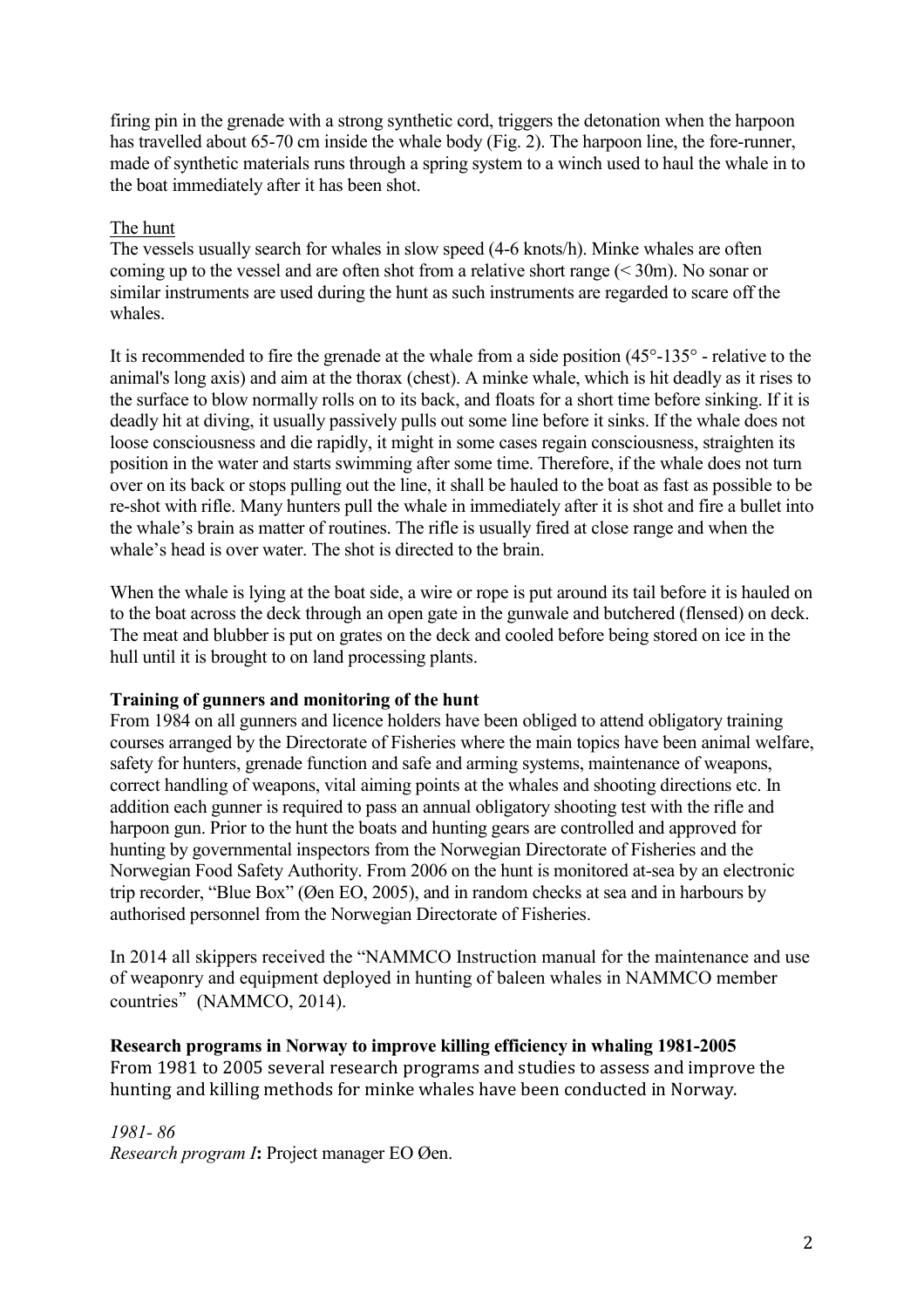firing pin in the grenade with a strong synthetic cord, triggers the detonation when the harpoon has travelled about 65-70 cm inside the whale body (Fig. 2). The harpoon line, the fore-runner, made of synthetic materials runs through a spring system to a winch used to haul the whale in to the boat immediately after it has been shot.

#### The hunt

The vessels usually search for whales in slow speed (4-6 knots/h). Minke whales are often coming up to the vessel and are often shot from a relative short range (< 30m). No sonar or similar instruments are used during the hunt as such instruments are regarded to scare off the whales.

It is recommended to fire the grenade at the whale from a side position (45°-135° - relative to the animal's long axis) and aim at the thorax (chest). A minke whale, which is hit deadly as it rises to the surface to blow normally rolls on to its back, and floats for a short time before sinking. If it is deadly hit at diving, it usually passively pulls out some line before it sinks. If the whale does not loose consciousness and die rapidly, it might in some cases regain consciousness, straighten its position in the water and starts swimming after some time. Therefore, if the whale does not turn over on its back or stops pulling out the line, it shall be hauled to the boat as fast as possible to be re-shot with rifle. Many hunters pull the whale in immediately after it is shot and fire a bullet into the whale's brain as matter of routines. The rifle is usually fired at close range and when the whale's head is over water. The shot is directed to the brain.

When the whale is lying at the boat side, a wire or rope is put around its tail before it is hauled on to the boat across the deck through an open gate in the gunwale and butchered (flensed) on deck. The meat and blubber is put on grates on the deck and cooled before being stored on ice in the hull until it is brought to on land processing plants.

#### **Training of gunners and monitoring of the hunt**

From 1984 on all gunners and licence holders have been obliged to attend obligatory training courses arranged by the Directorate of Fisheries where the main topics have been animal welfare, safety for hunters, grenade function and safe and arming systems, maintenance of weapons, correct handling of weapons, vital aiming points at the whales and shooting directions etc. In addition each gunner is required to pass an annual obligatory shooting test with the rifle and harpoon gun. Prior to the hunt the boats and hunting gears are controlled and approved for hunting by governmental inspectors from the Norwegian Directorate of Fisheries and the Norwegian Food Safety Authority. From 2006 on the hunt is monitored at-sea by an electronic trip recorder, "Blue Box" (Øen EO, 2005), and in random checks at sea and in harbours by authorised personnel from the Norwegian Directorate of Fisheries.

In 2014 all skippers received the "NAMMCO Instruction manual for the maintenance and use of weaponry and equipment deployed in hunting of baleen whales in NAMMCO member countries"(NAMMCO, 2014).

## **Research programs in Norway to improve killing efficiency in whaling 1981-2005**

From 1981 to 2005 several research programs and studies to assess and improve the hunting and killing methods for minke whales have been conducted in Norway.

*1981- 86 Research program I***:** Project manager EO Øen.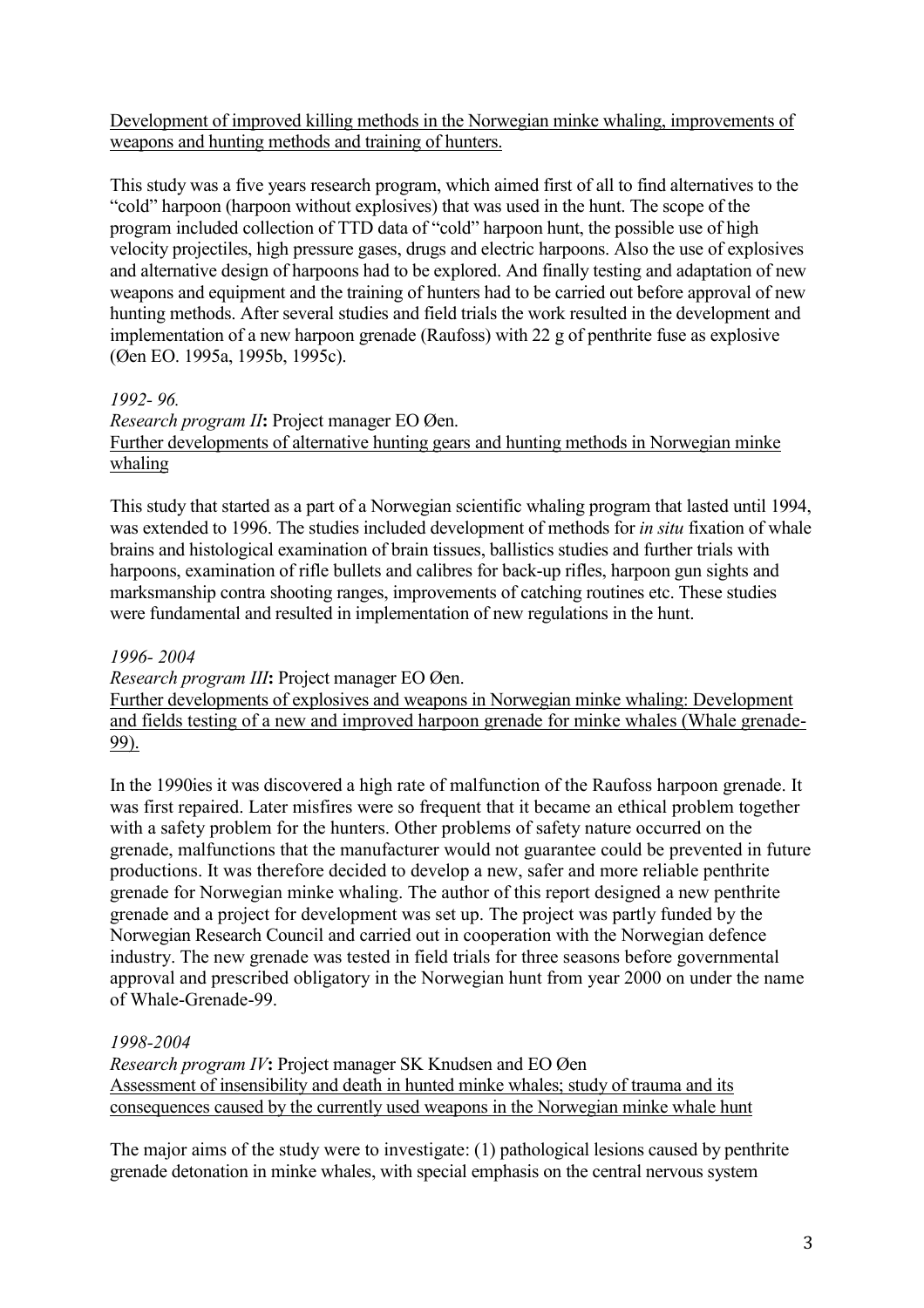Development of improved killing methods in the Norwegian minke whaling, improvements of weapons and hunting methods and training of hunters.

This study was a five years research program, which aimed first of all to find alternatives to the "cold" harpoon (harpoon without explosives) that was used in the hunt. The scope of the program included collection of TTD data of "cold" harpoon hunt, the possible use of high velocity projectiles, high pressure gases, drugs and electric harpoons. Also the use of explosives and alternative design of harpoons had to be explored. And finally testing and adaptation of new weapons and equipment and the training of hunters had to be carried out before approval of new hunting methods. After several studies and field trials the work resulted in the development and implementation of a new harpoon grenade (Raufoss) with 22 g of penthrite fuse as explosive (Øen EO. 1995a, 1995b, 1995c).

*1992- 96.* 

*Research program II***:** Project manager EO Øen. Further developments of alternative hunting gears and hunting methods in Norwegian minke whaling

This study that started as a part of a Norwegian scientific whaling program that lasted until 1994, was extended to 1996. The studies included development of methods for *in situ* fixation of whale brains and histological examination of brain tissues, ballistics studies and further trials with harpoons, examination of rifle bullets and calibres for back-up rifles, harpoon gun sights and marksmanship contra shooting ranges, improvements of catching routines etc. These studies were fundamental and resulted in implementation of new regulations in the hunt.

#### *1996- 2004*

*Research program III***:** Project manager EO Øen.

Further developments of explosives and weapons in Norwegian minke whaling: Development and fields testing of a new and improved harpoon grenade for minke whales (Whale grenade-99).

In the 1990ies it was discovered a high rate of malfunction of the Raufoss harpoon grenade. It was first repaired. Later misfires were so frequent that it became an ethical problem together with a safety problem for the hunters. Other problems of safety nature occurred on the grenade, malfunctions that the manufacturer would not guarantee could be prevented in future productions. It was therefore decided to develop a new, safer and more reliable penthrite grenade for Norwegian minke whaling. The author of this report designed a new penthrite grenade and a project for development was set up. The project was partly funded by the Norwegian Research Council and carried out in cooperation with the Norwegian defence industry. The new grenade was tested in field trials for three seasons before governmental approval and prescribed obligatory in the Norwegian hunt from year 2000 on under the name of Whale-Grenade-99.

## *1998-2004*

*Research program IV***:** Project manager SK Knudsen and EO Øen Assessment of insensibility and death in hunted minke whales; study of trauma and its consequences caused by the currently used weapons in the Norwegian minke whale hunt

The major aims of the study were to investigate: (1) pathological lesions caused by penthrite grenade detonation in minke whales, with special emphasis on the central nervous system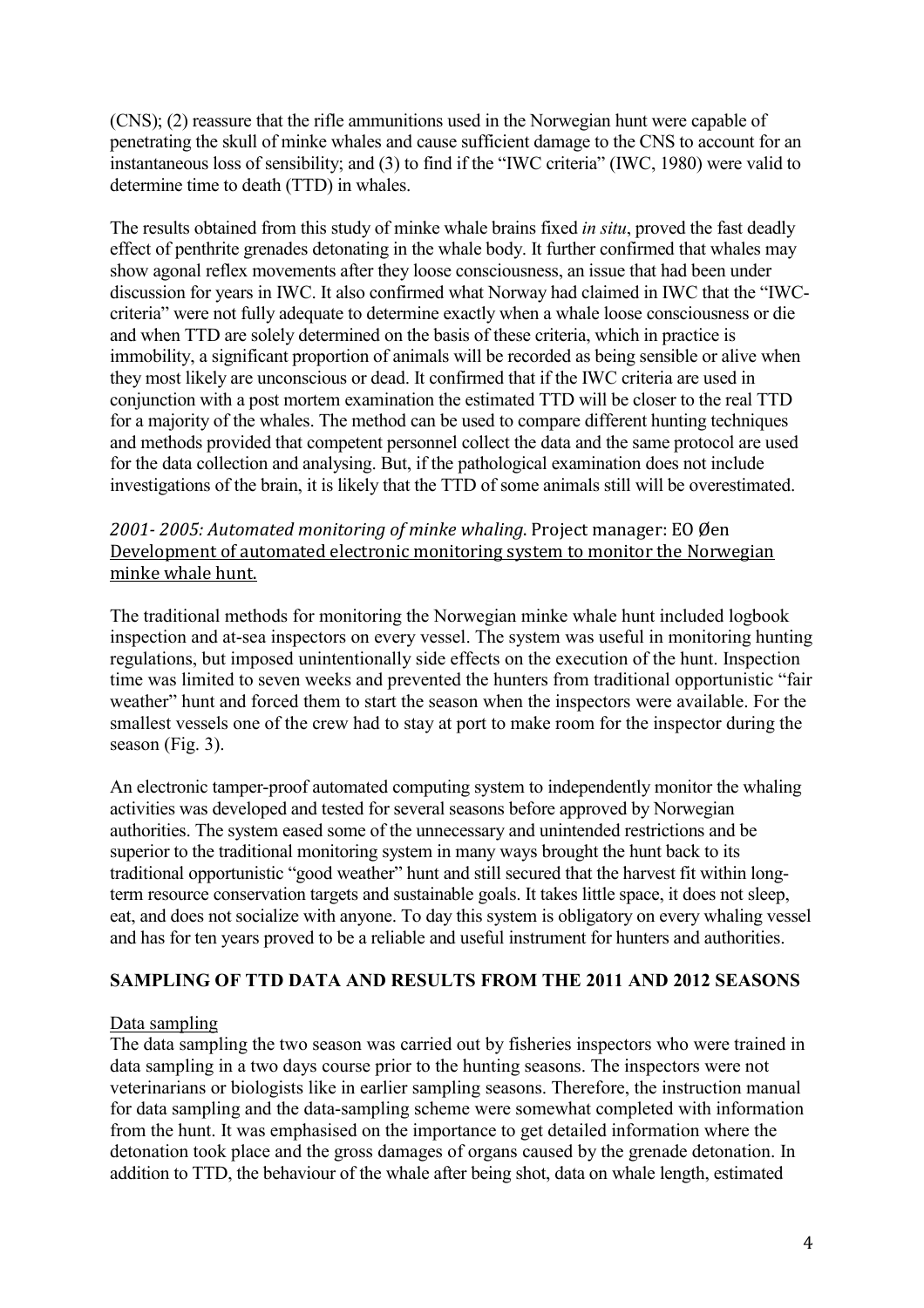(CNS); (2) reassure that the rifle ammunitions used in the Norwegian hunt were capable of penetrating the skull of minke whales and cause sufficient damage to the CNS to account for an instantaneous loss of sensibility; and (3) to find if the "IWC criteria" (IWC, 1980) were valid to determine time to death (TTD) in whales.

The results obtained from this study of minke whale brains fixed *in situ*, proved the fast deadly effect of penthrite grenades detonating in the whale body. It further confirmed that whales may show agonal reflex movements after they loose consciousness, an issue that had been under discussion for years in IWC. It also confirmed what Norway had claimed in IWC that the "IWCcriteria" were not fully adequate to determine exactly when a whale loose consciousness or die and when TTD are solely determined on the basis of these criteria, which in practice is immobility, a significant proportion of animals will be recorded as being sensible or alive when they most likely are unconscious or dead. It confirmed that if the IWC criteria are used in conjunction with a post mortem examination the estimated TTD will be closer to the real TTD for a majority of the whales. The method can be used to compare different hunting techniques and methods provided that competent personnel collect the data and the same protocol are used for the data collection and analysing. But, if the pathological examination does not include investigations of the brain, it is likely that the TTD of some animals still will be overestimated.

## *2001- 2005: Automated monitoring of minke whaling*. Project manager: EO Øen Development of automated electronic monitoring system to monitor the Norwegian minke whale hunt.

The traditional methods for monitoring the Norwegian minke whale hunt included logbook inspection and at-sea inspectors on every vessel. The system was useful in monitoring hunting regulations, but imposed unintentionally side effects on the execution of the hunt. Inspection time was limited to seven weeks and prevented the hunters from traditional opportunistic "fair weather" hunt and forced them to start the season when the inspectors were available. For the smallest vessels one of the crew had to stay at port to make room for the inspector during the season (Fig. 3).

An electronic tamper-proof automated computing system to independently monitor the whaling activities was developed and tested for several seasons before approved by Norwegian authorities. The system eased some of the unnecessary and unintended restrictions and be superior to the traditional monitoring system in many ways brought the hunt back to its traditional opportunistic "good weather" hunt and still secured that the harvest fit within longterm resource conservation targets and sustainable goals. It takes little space, it does not sleep, eat, and does not socialize with anyone. To day this system is obligatory on every whaling vessel and has for ten years proved to be a reliable and useful instrument for hunters and authorities.

## **SAMPLING OF TTD DATA AND RESULTS FROM THE 2011 AND 2012 SEASONS**

## Data sampling

The data sampling the two season was carried out by fisheries inspectors who were trained in data sampling in a two days course prior to the hunting seasons. The inspectors were not veterinarians or biologists like in earlier sampling seasons. Therefore, the instruction manual for data sampling and the data-sampling scheme were somewhat completed with information from the hunt. It was emphasised on the importance to get detailed information where the detonation took place and the gross damages of organs caused by the grenade detonation. In addition to TTD, the behaviour of the whale after being shot, data on whale length, estimated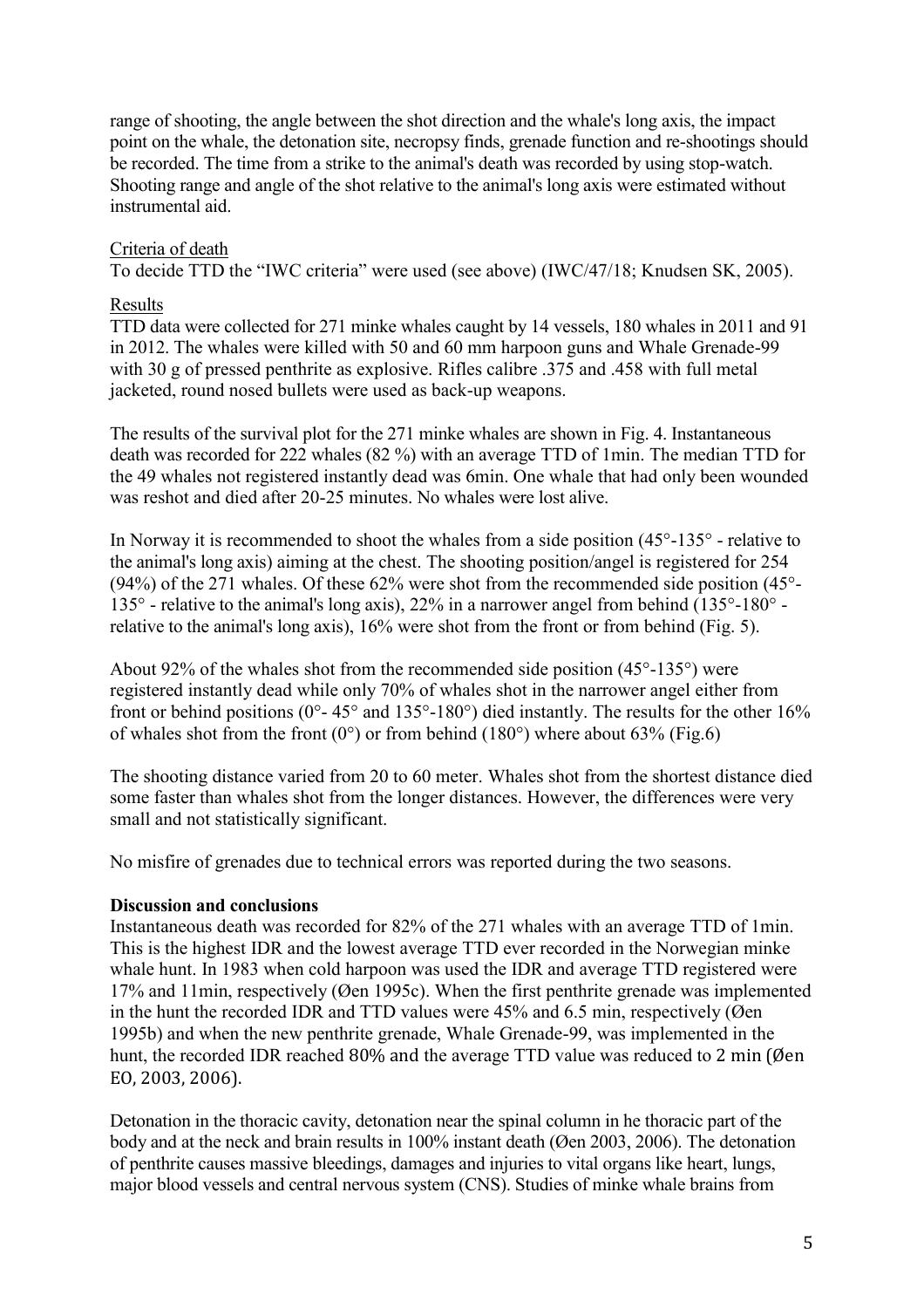range of shooting, the angle between the shot direction and the whale's long axis, the impact point on the whale, the detonation site, necropsy finds, grenade function and re-shootings should be recorded. The time from a strike to the animal's death was recorded by using stop-watch. Shooting range and angle of the shot relative to the animal's long axis were estimated without instrumental aid.

## Criteria of death

To decide TTD the "IWC criteria" were used (see above) (IWC/47/18; Knudsen SK, 2005).

#### Results

TTD data were collected for 271 minke whales caught by 14 vessels, 180 whales in 2011 and 91 in 2012. The whales were killed with 50 and 60 mm harpoon guns and Whale Grenade-99 with 30 g of pressed penthrite as explosive. Rifles calibre .375 and .458 with full metal jacketed, round nosed bullets were used as back-up weapons.

The results of the survival plot for the 271 minke whales are shown in Fig. 4. Instantaneous death was recorded for 222 whales (82 %) with an average TTD of 1min. The median TTD for the 49 whales not registered instantly dead was 6min. One whale that had only been wounded was reshot and died after 20-25 minutes. No whales were lost alive.

In Norway it is recommended to shoot the whales from a side position (45°-135° - relative to the animal's long axis) aiming at the chest. The shooting position/angel is registered for 254 (94%) of the 271 whales. Of these 62% were shot from the recommended side position (45°- 135° - relative to the animal's long axis), 22% in a narrower angel from behind (135°-180° relative to the animal's long axis), 16% were shot from the front or from behind (Fig. 5).

About 92% of the whales shot from the recommended side position (45°-135°) were registered instantly dead while only 70% of whales shot in the narrower angel either from front or behind positions ( $0^\circ$ - 45 $^\circ$  and 135 $^\circ$ -180 $^\circ$ ) died instantly. The results for the other 16% of whales shot from the front  $(0^{\circ})$  or from behind  $(180^{\circ})$  where about 63% (Fig.6)

The shooting distance varied from 20 to 60 meter. Whales shot from the shortest distance died some faster than whales shot from the longer distances. However, the differences were very small and not statistically significant.

No misfire of grenades due to technical errors was reported during the two seasons.

#### **Discussion and conclusions**

Instantaneous death was recorded for 82% of the 271 whales with an average TTD of 1min. This is the highest IDR and the lowest average TTD ever recorded in the Norwegian minke whale hunt. In 1983 when cold harpoon was used the IDR and average TTD registered were 17% and 11min, respectively (Øen 1995c). When the first penthrite grenade was implemented in the hunt the recorded IDR and TTD values were 45% and 6.5 min, respectively (Øen 1995b) and when the new penthrite grenade, Whale Grenade-99, was implemented in the hunt, the recorded IDR reached 80% and the average TTD value was reduced to 2 min (Øen EO, 2003, 2006).

Detonation in the thoracic cavity, detonation near the spinal column in he thoracic part of the body and at the neck and brain results in 100% instant death (Øen 2003, 2006). The detonation of penthrite causes massive bleedings, damages and injuries to vital organs like heart, lungs, major blood vessels and central nervous system (CNS). Studies of minke whale brains from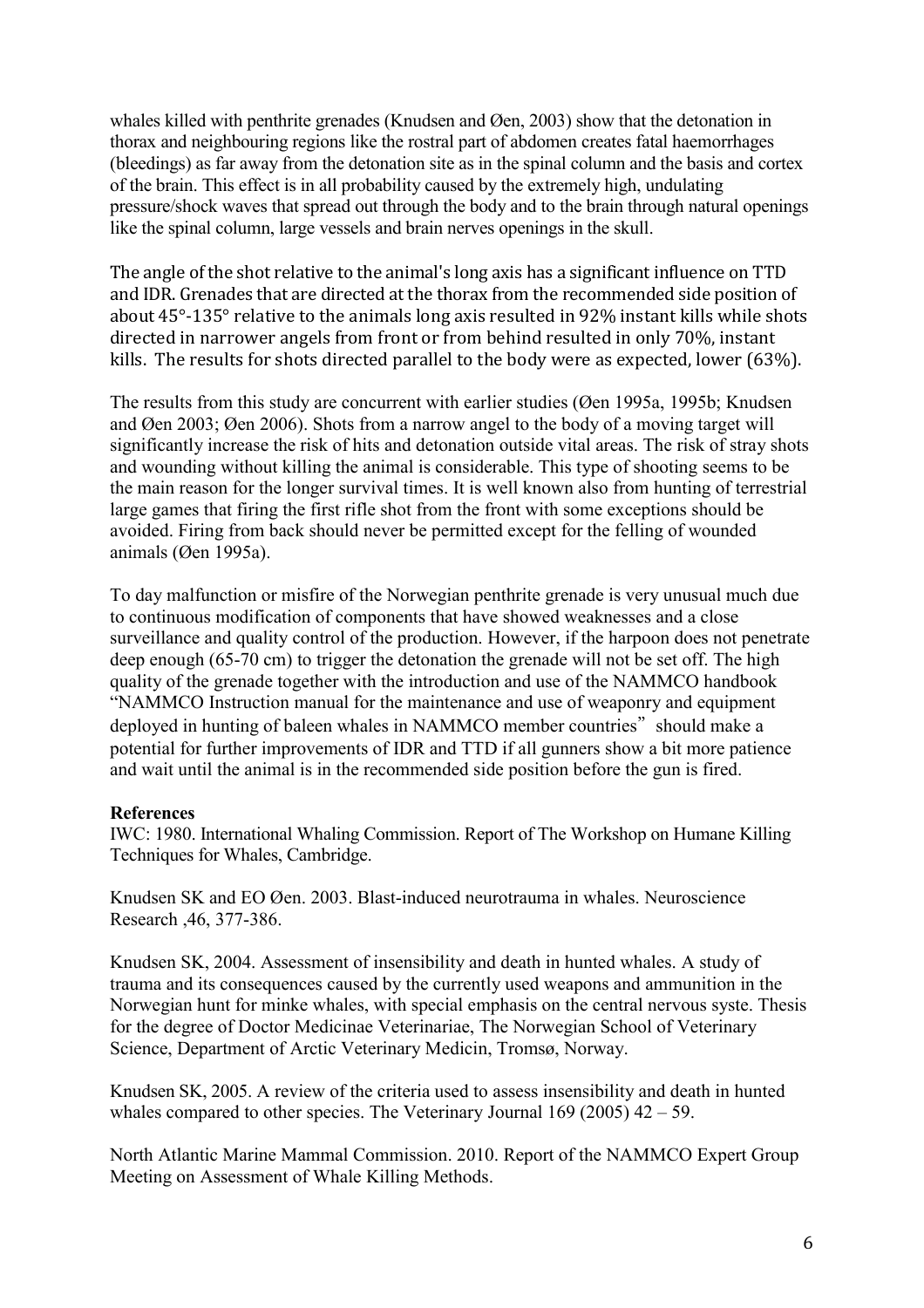whales killed with penthrite grenades (Knudsen and Øen, 2003) show that the detonation in thorax and neighbouring regions like the rostral part of abdomen creates fatal haemorrhages (bleedings) as far away from the detonation site as in the spinal column and the basis and cortex of the brain. This effect is in all probability caused by the extremely high, undulating pressure/shock waves that spread out through the body and to the brain through natural openings like the spinal column, large vessels and brain nerves openings in the skull.

The angle of the shot relative to the animal's long axis has a significant influence on TTD and IDR. Grenades that are directed at the thorax from the recommended side position of about 45°-135° relative to the animals long axis resulted in 92% instant kills while shots directed in narrower angels from front or from behind resulted in only 70%, instant kills. The results for shots directed parallel to the body were as expected, lower (63%).

The results from this study are concurrent with earlier studies (Øen 1995a, 1995b; Knudsen and Øen 2003; Øen 2006). Shots from a narrow angel to the body of a moving target will significantly increase the risk of hits and detonation outside vital areas. The risk of stray shots and wounding without killing the animal is considerable. This type of shooting seems to be the main reason for the longer survival times. It is well known also from hunting of terrestrial large games that firing the first rifle shot from the front with some exceptions should be avoided. Firing from back should never be permitted except for the felling of wounded animals (Øen 1995a).

To day malfunction or misfire of the Norwegian penthrite grenade is very unusual much due to continuous modification of components that have showed weaknesses and a close surveillance and quality control of the production. However, if the harpoon does not penetrate deep enough (65-70 cm) to trigger the detonation the grenade will not be set off. The high quality of the grenade together with the introduction and use of the NAMMCO handbook "NAMMCO Instruction manual for the maintenance and use of weaponry and equipment deployed in hunting of baleen whales in NAMMCO member countries" should make a potential for further improvements of IDR and TTD if all gunners show a bit more patience and wait until the animal is in the recommended side position before the gun is fired.

## **References**

IWC: 1980. International Whaling Commission. Report of The Workshop on Humane Killing Techniques for Whales, Cambridge.

Knudsen SK and EO Øen. 2003. Blast-induced neurotrauma in whales. Neuroscience Research ,46, 377-386.

Knudsen SK, 2004. Assessment of insensibility and death in hunted whales. A study of trauma and its consequences caused by the currently used weapons and ammunition in the Norwegian hunt for minke whales, with special emphasis on the central nervous syste. Thesis for the degree of Doctor Medicinae Veterinariae, The Norwegian School of Veterinary Science, Department of Arctic Veterinary Medicin, Tromsø, Norway.

Knudsen SK, 2005. A review of the criteria used to assess insensibility and death in hunted whales compared to other species. The Veterinary Journal  $169$  (2005)  $42 - 59$ .

North Atlantic Marine Mammal Commission. 2010. Report of the NAMMCO Expert Group Meeting on Assessment of Whale Killing Methods.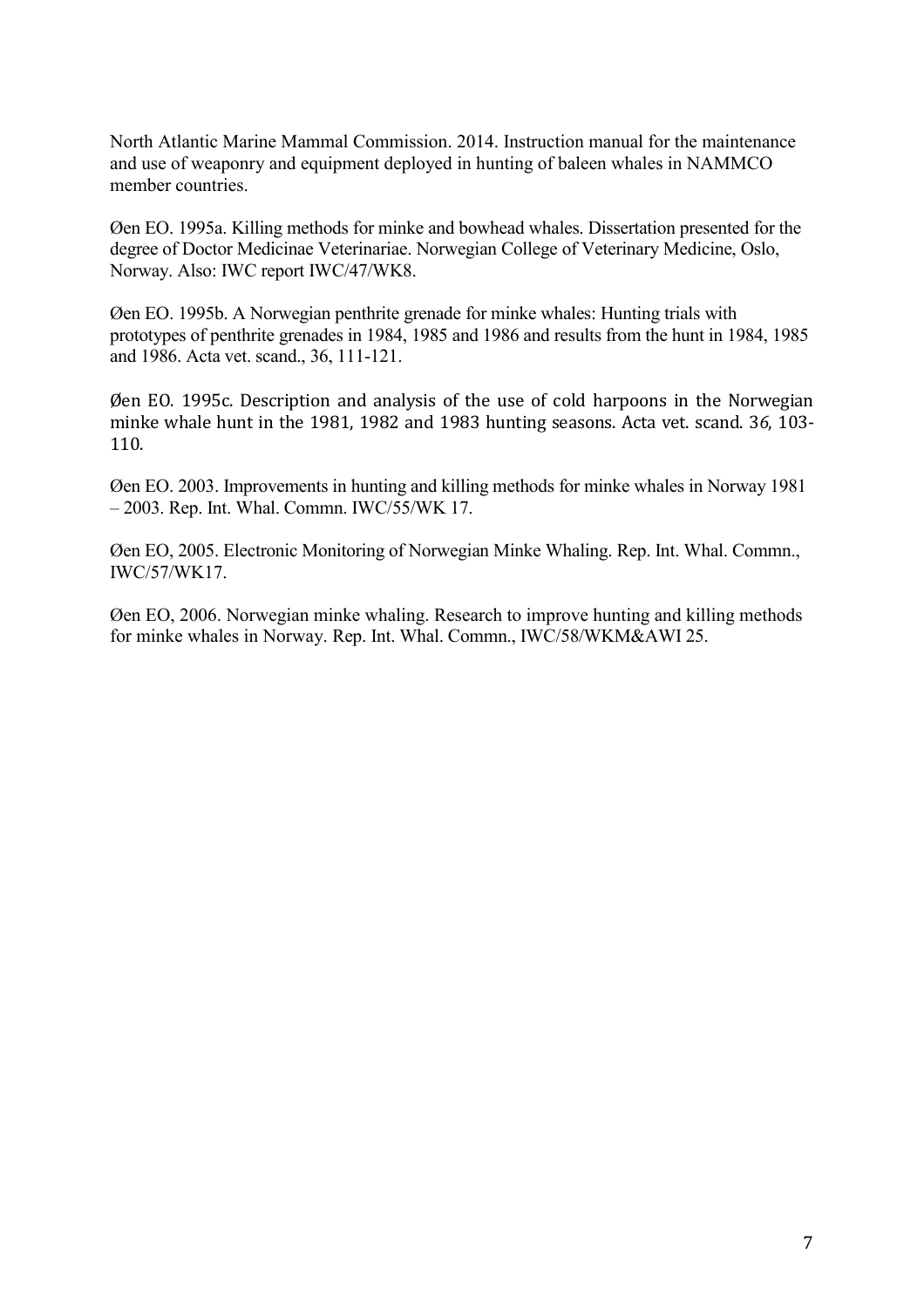North Atlantic Marine Mammal Commission. 2014. Instruction manual for the maintenance and use of weaponry and equipment deployed in hunting of baleen whales in NAMMCO member countries.

Øen EO. 1995a. Killing methods for minke and bowhead whales. Dissertation presented for the degree of Doctor Medicinae Veterinariae. Norwegian College of Veterinary Medicine, Oslo, Norway. Also: IWC report IWC/47/WK8.

Øen EO. 1995b. A Norwegian penthrite grenade for minke whales: Hunting trials with prototypes of penthrite grenades in 1984, 1985 and 1986 and results from the hunt in 1984, 1985 and 1986. Acta vet. scand., 36, 111-121.

Øen EO. 1995c. Description and analysis of the use of cold harpoons in the Norwegian minke whale hunt in the 1981, 1982 and 1983 hunting seasons. Acta vet. scand. 3*6*, 103- 110.

Øen EO. 2003. Improvements in hunting and killing methods for minke whales in Norway 1981 – 2003. Rep. Int. Whal. Commn. IWC/55/WK 17.

Øen EO, 2005. Electronic Monitoring of Norwegian Minke Whaling. Rep. Int. Whal. Commn., IWC/57/WK17.

Øen EO, 2006. Norwegian minke whaling. Research to improve hunting and killing methods for minke whales in Norway. Rep. Int. Whal. Commn., IWC/58/WKM&AWI 25.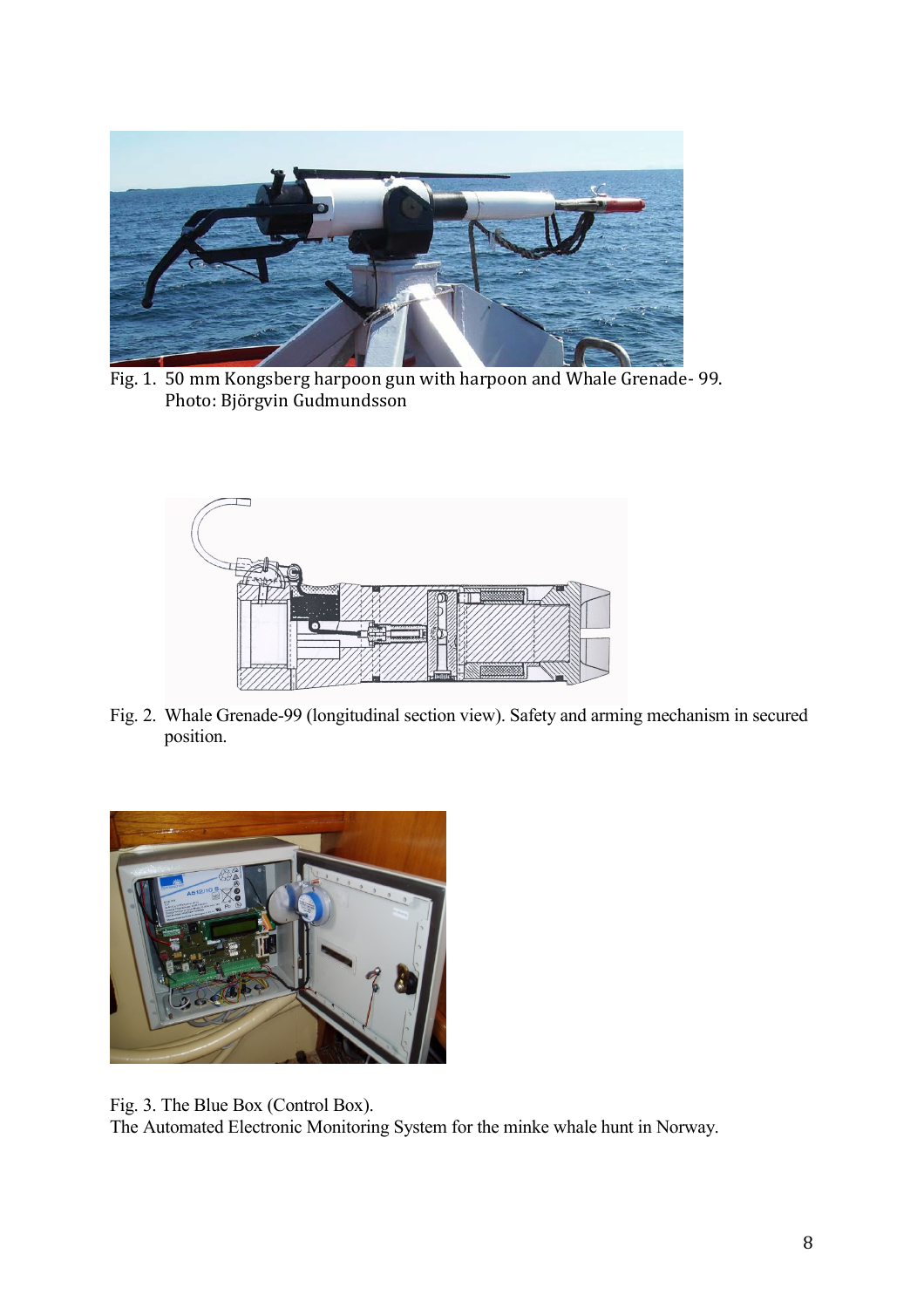

Fig. 1. 50 mm Kongsberg harpoon gun with harpoon and Whale Grenade- 99. Photo: Björgvin Gudmundsson



Fig. 2. Whale Grenade-99 (longitudinal section view). Safety and arming mechanism in secured position.



Fig. 3. The Blue Box (Control Box). The Automated Electronic Monitoring System for the minke whale hunt in Norway.